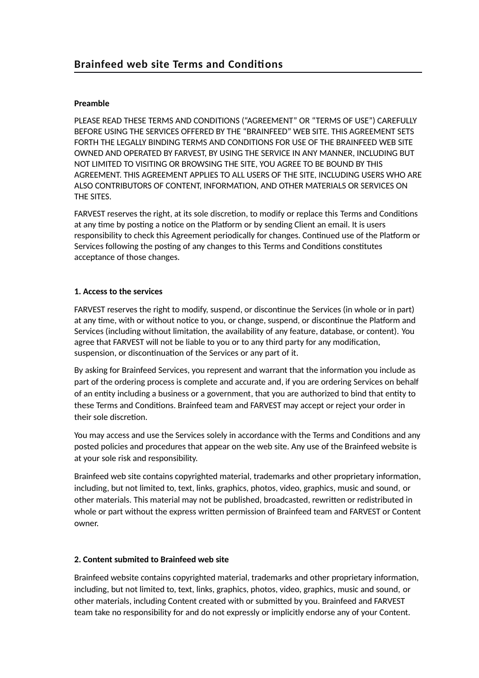# **Preamble**

PLEASE READ THESE TERMS AND CONDITIONS ("AGREEMENT" OR "TERMS OF USE") CAREFULLY BEFORE USING THE SERVICES OFFERED BY THE "BRAINFEED" WEB SITE. THIS AGREEMENT SETS FORTH THE LEGALLY BINDING TERMS AND CONDITIONS FOR USE OF THE BRAINFEED WEB SITE OWNED AND OPERATED BY FARVEST, BY USING THE SERVICE IN ANY MANNER, INCLUDING BUT NOT LIMITED TO VISITING OR BROWSING THE SITE, YOU AGREE TO BE BOUND BY THIS AGREEMENT. THIS AGREEMENT APPLIES TO ALL USERS OF THE SITE, INCLUDING USERS WHO ARE ALSO CONTRIBUTORS OF CONTENT, INFORMATION, AND OTHER MATERIALS OR SERVICES ON THE SITES.

FARVEST reserves the right, at its sole discretion, to modify or replace this Terms and Conditions at any time by posting a notice on the Platform or by sending Client an email. It is users responsibility to check this Agreement periodically for changes. Continued use of the Platform or Services following the posting of any changes to this Terms and Conditions constitutes acceptance of those changes.

## **1. Access to the services**

FARVEST reserves the right to modify, suspend, or discontinue the Services (in whole or in part) at any time, with or without notice to you, or change, suspend, or discontinue the Platform and Services (including without limitation, the availability of any feature, database, or content). You agree that FARVEST will not be liable to you or to any third party for any modification, suspension, or discontinuation of the Services or any part of it.

By asking for Brainfeed Services, you represent and warrant that the information you include as part of the ordering process is complete and accurate and, if you are ordering Services on behalf of an entity including a business or a government, that you are authorized to bind that entity to these Terms and Conditions. Brainfeed team and FARVEST may accept or reject your order in their sole discretion.

You may access and use the Services solely in accordance with the Terms and Conditions and any posted policies and procedures that appear on the web site. Any use of the Brainfeed website is at your sole risk and responsibility.

Brainfeed web site contains copyrighted material, trademarks and other proprietary information, including, but not limited to, text, links, graphics, photos, video, graphics, music and sound, or other materials. This material may not be published, broadcasted, rewritten or redistributed in whole or part without the express written permission of Brainfeed team and FARVEST or Content owner.

## **2. Content submited to Brainfeed web site**

Brainfeed website contains copyrighted material, trademarks and other proprietary information, including, but not limited to, text, links, graphics, photos, video, graphics, music and sound, or other materials, including Content created with or submitted by you. Brainfeed and FARVEST team take no responsibility for and do not expressly or implicitly endorse any of your Content.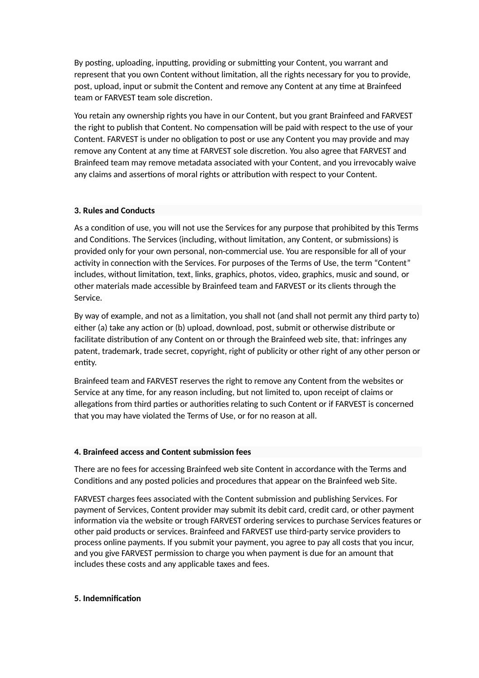By posting, uploading, inputting, providing or submitting your Content, you warrant and represent that you own Content without limitation, all the rights necessary for you to provide, post, upload, input or submit the Content and remove any Content at any time at Brainfeed team or FARVEST team sole discretion.

You retain any ownership rights you have in our Content, but you grant Brainfeed and FARVEST the right to publish that Content. No compensation will be paid with respect to the use of your Content. FARVEST is under no obligation to post or use any Content you may provide and may remove any Content at any time at FARVEST sole discretion. You also agree that FARVEST and Brainfeed team may remove metadata associated with your Content, and you irrevocably waive any claims and assertions of moral rights or attribution with respect to your Content.

#### **3. Rules and Conducts**

As a condition of use, you will not use the Services for any purpose that prohibited by this Terms and Conditions. The Services (including, without limitation, any Content, or submissions) is provided only for your own personal, non-commercial use. You are responsible for all of your activity in connection with the Services. For purposes of the Terms of Use, the term "Content" includes, without limitation, text, links, graphics, photos, video, graphics, music and sound, or other materials made accessible by Brainfeed team and FARVEST or its clients through the Service.

By way of example, and not as a limitation, you shall not (and shall not permit any third party to) either (a) take any action or (b) upload, download, post, submit or otherwise distribute or facilitate distribution of any Content on or through the Brainfeed web site, that: infringes any patent, trademark, trade secret, copyright, right of publicity or other right of any other person or entity.

Brainfeed team and FARVEST reserves the right to remove any Content from the websites or Service at any time, for any reason including, but not limited to, upon receipt of claims or allegations from third parties or authorities relating to such Content or if FARVEST is concerned that you may have violated the Terms of Use, or for no reason at all.

#### **4. Brainfeed access and Content submission fees**

There are no fees for accessing Brainfeed web site Content in accordance with the Terms and Conditions and any posted policies and procedures that appear on the Brainfeed web Site.

FARVEST charges fees associated with the Content submission and publishing Services. For payment of Services, Content provider may submit its debit card, credit card, or other payment information via the website or trough FARVEST ordering services to purchase Services features or other paid products or services. Brainfeed and FARVEST use third-party service providers to process online payments. If you submit your payment, you agree to pay all costs that you incur, and you give FARVEST permission to charge you when payment is due for an amount that includes these costs and any applicable taxes and fees.

#### **5. Indemnification**